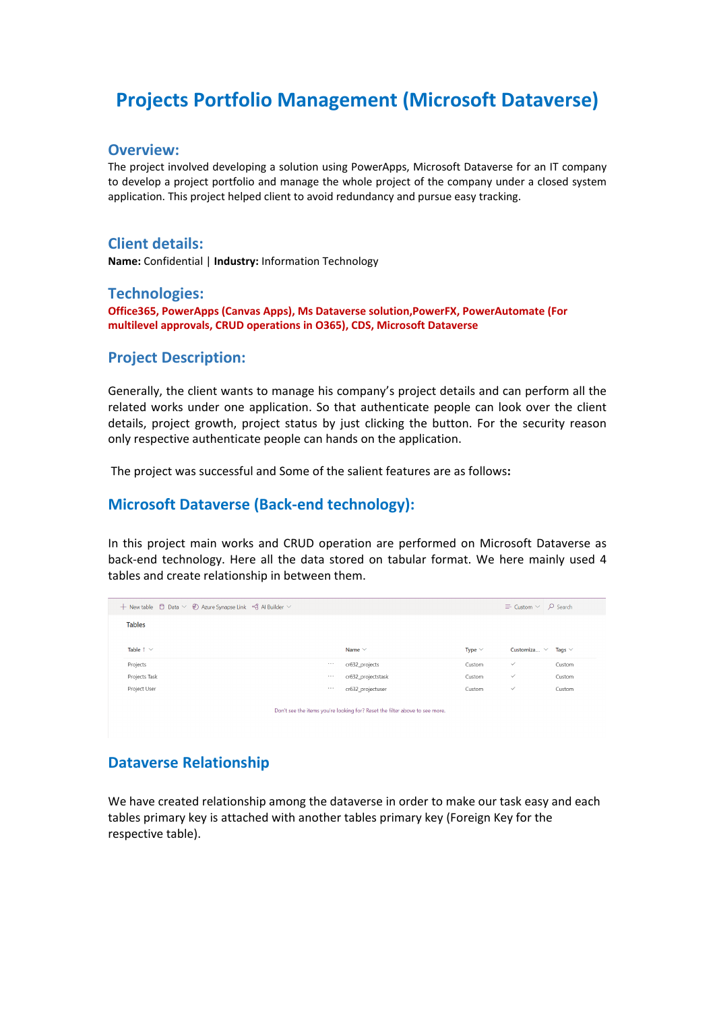# **Projects Portfolio Management (Microsoft Dataverse)**

#### **Overview:**

The project involved developing a solution using PowerApps, Microsoft Dataverse for an IT company to develop a project portfolio and manage the whole project of the company under a closed system application. This project helped client to avoid redundancy and pursue easy tracking.

#### **Client details:**

**Name:** Confidential | **Industry:** Information Technology

#### **Technologies:**

**Office365, PowerApps (Canvas Apps), Ms Dataverse solution,PowerFX, PowerAutomate (For multilevel approvals, CRUD operations in O365), CDS, Microsoft Dataverse**

### **Project Description:**

Generally, the client wants to manage his company's project details and can perform all the related works under one application. So that authenticate people can look over the client details, project growth, project status by just clicking the button. For the security reason only respective authenticate people can hands on the application.

The project was successful and Some of the salient features are as follows**:**

## **Microsoft Dataverse (Back-end technology):**

In this project main works and CRUD operation are performed on Microsoft Dataverse as back-end technology. Here all the data stored on tabular format. We here mainly used 4 tables and create relationship in between them.

| + New table $\Box$ Data $\lor \textcircled{2}$ Azure Synapse Link $\circ \Diamond$ Al Builder $\lor$ |          |                    |             | $\equiv$ Custom $\vee$ $\supset$ Search |             |  |  |  |
|------------------------------------------------------------------------------------------------------|----------|--------------------|-------------|-----------------------------------------|-------------|--|--|--|
| <b>Tables</b>                                                                                        |          |                    |             |                                         |             |  |  |  |
|                                                                                                      |          |                    |             |                                         |             |  |  |  |
| Table $\uparrow \vee$                                                                                |          | Name $\vee$        | Type $\vee$ | Customiza $\vee$                        | Tags $\vee$ |  |  |  |
| Projects                                                                                             |          | cr632 projects     | Custom      | $\checkmark$                            | Custom      |  |  |  |
| Projects Task                                                                                        | $\cdots$ | cr632 projectstask | Custom      | $\checkmark$                            | Custom      |  |  |  |
| Project User                                                                                         | $\cdots$ | cr632_projectuser  | Custom      | $\checkmark$                            | Custom      |  |  |  |
|                                                                                                      |          |                    |             |                                         |             |  |  |  |
| Don't see the items you're looking for? Reset the filter above to see more.                          |          |                    |             |                                         |             |  |  |  |

# **Dataverse Relationship**

We have created relationship among the dataverse in order to make our task easy and each tables primary key is attached with another tables primary key (Foreign Key for the respective table).